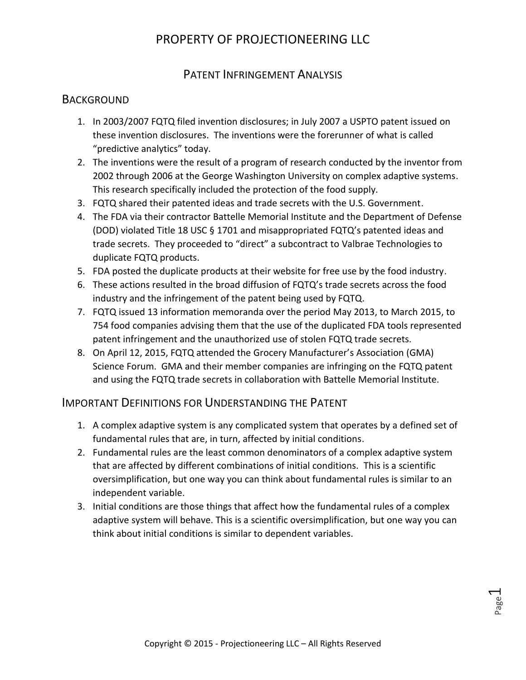#### PATENT INFRINGEMENT ANALYSIS

#### **BACKGROUND**

- 1. In 2003/2007 FQTQ filed invention disclosures; in July 2007 a USPTO patent issued on these invention disclosures. The inventions were the forerunner of what is called "predictive analytics" today.
- 2. The inventions were the result of a program of research conducted by the inventor from 2002 through 2006 at the George Washington University on complex adaptive systems. This research specifically included the protection of the food supply.
- 3. FQTQ shared their patented ideas and trade secrets with the U.S. Government.
- 4. The FDA via their contractor Battelle Memorial Institute and the Department of Defense (DOD) violated Title 18 USC § 1701 and misappropriated FQTQ's patented ideas and trade secrets. They proceeded to "direct" a subcontract to Valbrae Technologies to duplicate FQTQ products.
- 5. FDA posted the duplicate products at their website for free use by the food industry.
- 6. These actions resulted in the broad diffusion of FQTQ's trade secrets across the food industry and the infringement of the patent being used by FQTQ.
- 7. FQTQ issued 13 information memoranda over the period May 2013, to March 2015, to 754 food companies advising them that the use of the duplicated FDA tools represented patent infringement and the unauthorized use of stolen FQTQ trade secrets.
- 8. On April 12, 2015, FQTQ attended the Grocery Manufacturer's Association (GMA) Science Forum. GMA and their member companies are infringing on the FQTQ patent and using the FQTQ trade secrets in collaboration with Battelle Memorial Institute.

#### IMPORTANT DEFINITIONS FOR UNDERSTANDING THE PATENT

- 1. A complex adaptive system is any complicated system that operates by a defined set of fundamental rules that are, in turn, affected by initial conditions.
- 2. Fundamental rules are the least common denominators of a complex adaptive system that are affected by different combinations of initial conditions. This is a scientific oversimplification, but one way you can think about fundamental rules is similar to an independent variable.
- 3. Initial conditions are those things that affect how the fundamental rules of a complex adaptive system will behave. This is a scientific oversimplification, but one way you can think about initial conditions is similar to dependent variables.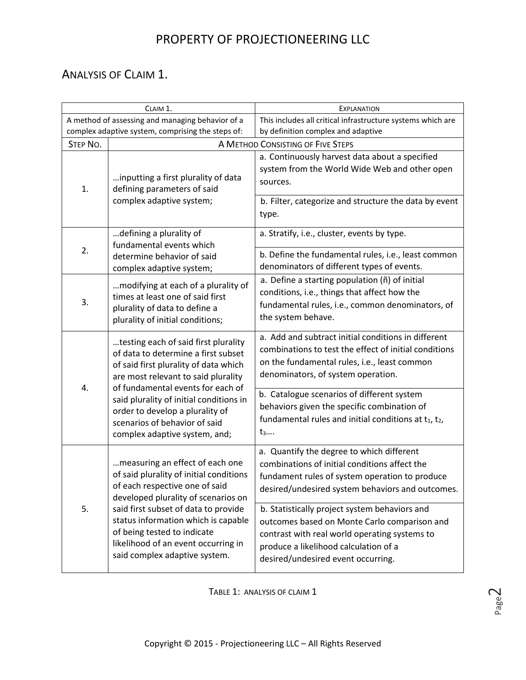#### ANALYSIS OF CLAIM 1.

| CLAIM 1.                                                                                                                                                                                |                                                                                                                                                                                                    | <b>EXPLANATION</b>                                                                                                                                                                                                            |  |  |
|-----------------------------------------------------------------------------------------------------------------------------------------------------------------------------------------|----------------------------------------------------------------------------------------------------------------------------------------------------------------------------------------------------|-------------------------------------------------------------------------------------------------------------------------------------------------------------------------------------------------------------------------------|--|--|
|                                                                                                                                                                                         | A method of assessing and managing behavior of a<br>complex adaptive system, comprising the steps of:                                                                                              | This includes all critical infrastructure systems which are<br>by definition complex and adaptive                                                                                                                             |  |  |
| <b>STEP NO.</b>                                                                                                                                                                         |                                                                                                                                                                                                    | A METHOD CONSISTING OF FIVE STEPS                                                                                                                                                                                             |  |  |
| 1.                                                                                                                                                                                      | inputting a first plurality of data<br>defining parameters of said<br>complex adaptive system;                                                                                                     | a. Continuously harvest data about a specified<br>system from the World Wide Web and other open<br>sources.<br>b. Filter, categorize and structure the data by event<br>type.                                                 |  |  |
| 2.                                                                                                                                                                                      | defining a plurality of<br>fundamental events which<br>determine behavior of said<br>complex adaptive system;                                                                                      | a. Stratify, i.e., cluster, events by type.<br>b. Define the fundamental rules, i.e., least common<br>denominators of different types of events.                                                                              |  |  |
| 3.                                                                                                                                                                                      | modifying at each of a plurality of<br>times at least one of said first<br>plurality of data to define a<br>plurality of initial conditions;                                                       | a. Define a starting population (ñ) of initial<br>conditions, i.e., things that affect how the<br>fundamental rules, i.e., common denominators, of<br>the system behave.                                                      |  |  |
| testing each of said first plurality<br>of data to determine a first subset<br>of said first plurality of data which<br>are most relevant to said plurality                             | a. Add and subtract initial conditions in different<br>combinations to test the effect of initial conditions<br>on the fundamental rules, i.e., least common<br>denominators, of system operation. |                                                                                                                                                                                                                               |  |  |
| of fundamental events for each of<br>4.<br>said plurality of initial conditions in<br>order to develop a plurality of<br>scenarios of behavior of said<br>complex adaptive system, and; |                                                                                                                                                                                                    | b. Catalogue scenarios of different system<br>behaviors given the specific combination of<br>fundamental rules and initial conditions at t1, t2,<br>$t_3$                                                                     |  |  |
| 5.<br>of being tested to indicate                                                                                                                                                       | measuring an effect of each one<br>of said plurality of initial conditions<br>of each respective one of said<br>developed plurality of scenarios on                                                | a. Quantify the degree to which different<br>combinations of initial conditions affect the<br>fundament rules of system operation to produce<br>desired/undesired system behaviors and outcomes.                              |  |  |
|                                                                                                                                                                                         | said first subset of data to provide<br>status information which is capable<br>likelihood of an event occurring in<br>said complex adaptive system.                                                | b. Statistically project system behaviors and<br>outcomes based on Monte Carlo comparison and<br>contrast with real world operating systems to<br>produce a likelihood calculation of a<br>desired/undesired event occurring. |  |  |

TABLE 1: ANALYSIS OF CLAIM 1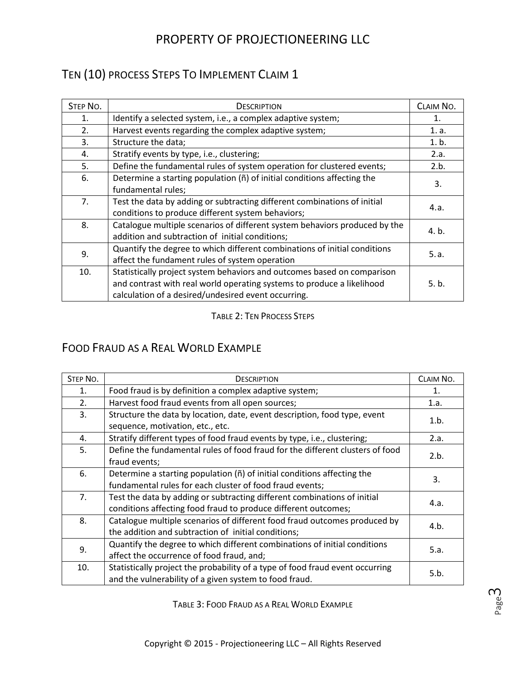# TEN (10) PROCESS STEPS TO IMPLEMENT CLAIM 1

| <b>STEP NO.</b> | <b>DESCRIPTION</b>                                                                                                                                                                                       | CLAIM NO. |
|-----------------|----------------------------------------------------------------------------------------------------------------------------------------------------------------------------------------------------------|-----------|
| 1.              | Identify a selected system, i.e., a complex adaptive system;                                                                                                                                             | 1.        |
| 2.              | Harvest events regarding the complex adaptive system;                                                                                                                                                    | 1. a.     |
| 3.              | Structure the data;                                                                                                                                                                                      | 1. b.     |
| 4.              | Stratify events by type, i.e., clustering;                                                                                                                                                               | 2.a.      |
| 5.              | Define the fundamental rules of system operation for clustered events;                                                                                                                                   | 2.b.      |
| 6.              | Determine a starting population (ñ) of initial conditions affecting the<br>fundamental rules;                                                                                                            | 3.        |
| 7.              | Test the data by adding or subtracting different combinations of initial<br>conditions to produce different system behaviors;                                                                            | 4.a.      |
| 8.              | Catalogue multiple scenarios of different system behaviors produced by the<br>addition and subtraction of initial conditions;                                                                            | 4. b.     |
| 9.              | Quantify the degree to which different combinations of initial conditions<br>affect the fundament rules of system operation                                                                              | 5.a.      |
| 10.             | Statistically project system behaviors and outcomes based on comparison<br>and contrast with real world operating systems to produce a likelihood<br>calculation of a desired/undesired event occurring. | 5. b.     |

#### TABLE 2: TEN PROCESS STEPS

### FOOD FRAUD AS A REAL WORLD EXAMPLE

| <b>STEP NO.</b> | <b>DESCRIPTION</b>                                                            | CLAIM NO. |
|-----------------|-------------------------------------------------------------------------------|-----------|
| 1.              | Food fraud is by definition a complex adaptive system;                        | 1.        |
| 2.              | Harvest food fraud events from all open sources;                              | 1.a.      |
| 3.              | Structure the data by location, date, event description, food type, event     | 1.b.      |
|                 | sequence, motivation, etc., etc.                                              |           |
| 4.              | Stratify different types of food fraud events by type, i.e., clustering;      | 2.a.      |
| 5.              | Define the fundamental rules of food fraud for the different clusters of food | 2.b.      |
|                 | fraud events;                                                                 |           |
| 6.              | Determine a starting population (ñ) of initial conditions affecting the       | 3.        |
|                 | fundamental rules for each cluster of food fraud events;                      |           |
| 7.              | Test the data by adding or subtracting different combinations of initial      | 4.a.      |
|                 | conditions affecting food fraud to produce different outcomes;                |           |
| 8.              | Catalogue multiple scenarios of different food fraud outcomes produced by     | 4.b.      |
|                 | the addition and subtraction of initial conditions;                           |           |
| 9.              | Quantify the degree to which different combinations of initial conditions     | 5.a.      |
|                 | affect the occurrence of food fraud, and;                                     |           |
| 10.             | Statistically project the probability of a type of food fraud event occurring | 5.b.      |
|                 | and the vulnerability of a given system to food fraud.                        |           |

TABLE 3: FOOD FRAUD AS A REAL WORLD EXAMPLE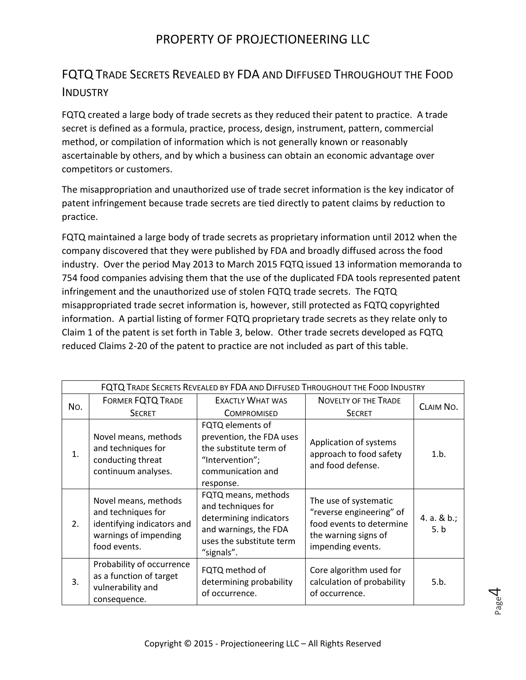## FQTQ TRADE SECRETS REVEALED BY FDA AND DIFFUSED THROUGHOUT THE FOOD **INDUSTRY**

FQTQ created a large body of trade secrets as they reduced their patent to practice. A trade secret is defined as a formula, practice, process, design, instrument, pattern, commercial method, or compilation of information which is not generally known or reasonably ascertainable by others, and by which a business can obtain an economic advantage over competitors or customers.

The misappropriation and unauthorized use of trade secret information is the key indicator of patent infringement because trade secrets are tied directly to patent claims by reduction to practice.

FQTQ maintained a large body of trade secrets as proprietary information until 2012 when the company discovered that they were published by FDA and broadly diffused across the food industry. Over the period May 2013 to March 2015 FQTQ issued 13 information memoranda to 754 food companies advising them that the use of the duplicated FDA tools represented patent infringement and the unauthorized use of stolen FQTQ trade secrets. The FQTQ misappropriated trade secret information is, however, still protected as FQTQ copyrighted information. A partial listing of former FQTQ proprietary trade secrets as they relate only to Claim 1 of the patent is set forth in Table 3, below. Other trade secrets developed as FQTQ reduced Claims 2-20 of the patent to practice are not included as part of this table.

| FQTQ TRADE SECRETS REVEALED BY FDA AND DIFFUSED THROUGHOUT THE FOOD INDUSTRY |                                                                                                                   |                                                                                                                                        |                                                                                                                            |                        |
|------------------------------------------------------------------------------|-------------------------------------------------------------------------------------------------------------------|----------------------------------------------------------------------------------------------------------------------------------------|----------------------------------------------------------------------------------------------------------------------------|------------------------|
| No.                                                                          | <b>FORMER FQTQ TRADE</b>                                                                                          | <b>EXACTLY WHAT WAS</b>                                                                                                                | <b>NOVELTY OF THE TRADE</b>                                                                                                | CLAIM NO.              |
|                                                                              | <b>SECRET</b>                                                                                                     | <b>COMPROMISED</b>                                                                                                                     | <b>SECRET</b>                                                                                                              |                        |
| 1.                                                                           | Novel means, methods<br>and techniques for<br>conducting threat<br>continuum analyses.                            | FQTQ elements of<br>prevention, the FDA uses<br>the substitute term of<br>"Intervention";<br>communication and<br>response.            | Application of systems<br>approach to food safety<br>and food defense.                                                     | 1.b.                   |
| 2.                                                                           | Novel means, methods<br>and techniques for<br>identifying indicators and<br>warnings of impending<br>food events. | FQTQ means, methods<br>and techniques for<br>determining indicators<br>and warnings, the FDA<br>uses the substitute term<br>"signals". | The use of systematic<br>"reverse engineering" of<br>food events to determine<br>the warning signs of<br>impending events. | 4. a. $& b$ .;<br>5. b |
| 3.                                                                           | Probability of occurrence<br>as a function of target<br>vulnerability and<br>consequence.                         | FQTQ method of<br>determining probability<br>of occurrence.                                                                            | Core algorithm used for<br>calculation of probability<br>of occurrence.                                                    | 5.b.                   |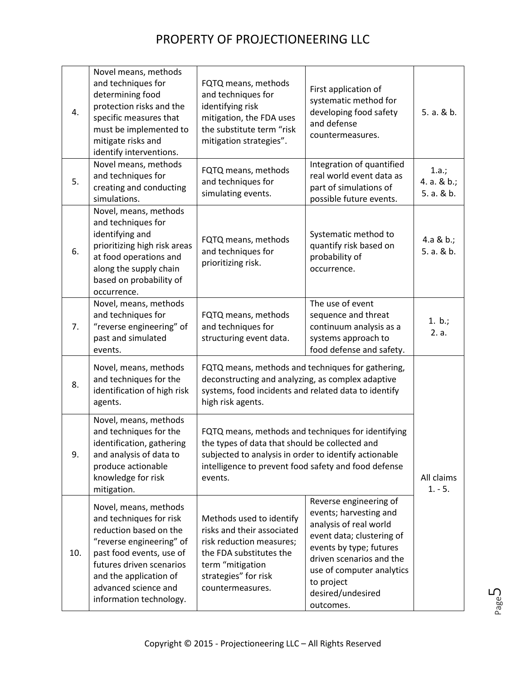| 4.  | Novel means, methods<br>and techniques for<br>determining food<br>protection risks and the<br>specific measures that<br>must be implemented to<br>mitigate risks and<br>identify interventions.                                             | FQTQ means, methods<br>and techniques for<br>identifying risk<br>mitigation, the FDA uses<br>the substitute term "risk<br>mitigation strategies".                                                                                | First application of<br>systematic method for<br>developing food safety<br>and defense<br>countermeasures.                                                                                                                                  | 5. a. & b.                         |
|-----|---------------------------------------------------------------------------------------------------------------------------------------------------------------------------------------------------------------------------------------------|----------------------------------------------------------------------------------------------------------------------------------------------------------------------------------------------------------------------------------|---------------------------------------------------------------------------------------------------------------------------------------------------------------------------------------------------------------------------------------------|------------------------------------|
| 5.  | Novel means, methods<br>and techniques for<br>creating and conducting<br>simulations.                                                                                                                                                       | FQTQ means, methods<br>and techniques for<br>simulating events.                                                                                                                                                                  | Integration of quantified<br>real world event data as<br>part of simulations of<br>possible future events.                                                                                                                                  | 1.a.;<br>4. a. & b.;<br>5. a. & b. |
| 6.  | Novel, means, methods<br>and techniques for<br>identifying and<br>prioritizing high risk areas<br>at food operations and<br>along the supply chain<br>based on probability of<br>occurrence.                                                | FQTQ means, methods<br>and techniques for<br>prioritizing risk.                                                                                                                                                                  | Systematic method to<br>quantify risk based on<br>probability of<br>occurrence.                                                                                                                                                             | 4.a & b.;<br>5. a. & b.            |
| 7.  | Novel, means, methods<br>and techniques for<br>"reverse engineering" of<br>past and simulated<br>events.                                                                                                                                    | FQTQ means, methods<br>and techniques for<br>structuring event data.                                                                                                                                                             | The use of event<br>sequence and threat<br>continuum analysis as a<br>systems approach to<br>food defense and safety.                                                                                                                       | 1. $b$ .;<br>2. a.                 |
| 8.  | Novel, means, methods<br>and techniques for the<br>identification of high risk<br>agents.                                                                                                                                                   | FQTQ means, methods and techniques for gathering,<br>deconstructing and analyzing, as complex adaptive<br>systems, food incidents and related data to identify<br>high risk agents.                                              |                                                                                                                                                                                                                                             |                                    |
| 9.  | Novel, means, methods<br>and techniques for the<br>identification, gathering<br>and analysis of data to<br>produce actionable<br>knowledge for risk<br>mitigation.                                                                          | FQTQ means, methods and techniques for identifying<br>the types of data that should be collected and<br>subjected to analysis in order to identify actionable<br>intelligence to prevent food safety and food defense<br>events. |                                                                                                                                                                                                                                             | All claims<br>$1. - 5.$            |
| 10. | Novel, means, methods<br>and techniques for risk<br>reduction based on the<br>"reverse engineering" of<br>past food events, use of<br>futures driven scenarios<br>and the application of<br>advanced science and<br>information technology. | Methods used to identify<br>risks and their associated<br>risk reduction measures;<br>the FDA substitutes the<br>term "mitigation<br>strategies" for risk<br>countermeasures.                                                    | Reverse engineering of<br>events; harvesting and<br>analysis of real world<br>event data; clustering of<br>events by type; futures<br>driven scenarios and the<br>use of computer analytics<br>to project<br>desired/undesired<br>outcomes. |                                    |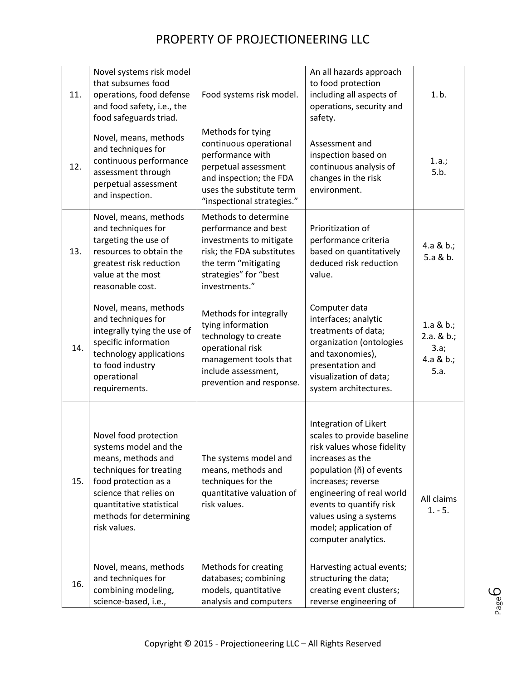| 11. | Novel systems risk model<br>that subsumes food<br>operations, food defense<br>and food safety, i.e., the<br>food safeguards triad.                                                                                       | Food systems risk model.                                                                                                                                                     | An all hazards approach<br>to food protection<br>including all aspects of<br>operations, security and<br>safety.                                                                                                                                                                          | 1.b.                                                       |
|-----|--------------------------------------------------------------------------------------------------------------------------------------------------------------------------------------------------------------------------|------------------------------------------------------------------------------------------------------------------------------------------------------------------------------|-------------------------------------------------------------------------------------------------------------------------------------------------------------------------------------------------------------------------------------------------------------------------------------------|------------------------------------------------------------|
| 12. | Novel, means, methods<br>and techniques for<br>continuous performance<br>assessment through<br>perpetual assessment<br>and inspection.                                                                                   | Methods for tying<br>continuous operational<br>performance with<br>perpetual assessment<br>and inspection; the FDA<br>uses the substitute term<br>"inspectional strategies." | Assessment and<br>inspection based on<br>continuous analysis of<br>changes in the risk<br>environment.                                                                                                                                                                                    | 1.a.;<br>5.b.                                              |
| 13. | Novel, means, methods<br>and techniques for<br>targeting the use of<br>resources to obtain the<br>greatest risk reduction<br>value at the most<br>reasonable cost.                                                       | Methods to determine<br>performance and best<br>investments to mitigate<br>risk; the FDA substitutes<br>the term "mitigating<br>strategies" for "best<br>investments."       | Prioritization of<br>performance criteria<br>based on quantitatively<br>deduced risk reduction<br>value.                                                                                                                                                                                  | 4.a & b.;<br>5.a & b.                                      |
| 14. | Novel, means, methods<br>and techniques for<br>integrally tying the use of<br>specific information<br>technology applications<br>to food industry<br>operational<br>requirements.                                        | Methods for integrally<br>tying information<br>technology to create<br>operational risk<br>management tools that<br>include assessment,<br>prevention and response.          | Computer data<br>interfaces; analytic<br>treatments of data;<br>organization (ontologies<br>and taxonomies),<br>presentation and<br>visualization of data;<br>system architectures.                                                                                                       | 1.a & $b$ .;<br>$2.a. & b.$ ;<br>3.a;<br>4.a & b.;<br>5.a. |
| 15. | Novel food protection<br>systems model and the<br>means, methods and<br>techniques for treating<br>food protection as a<br>science that relies on<br>quantitative statistical<br>methods for determining<br>risk values. | The systems model and<br>means, methods and<br>techniques for the<br>quantitative valuation of<br>risk values.                                                               | Integration of Likert<br>scales to provide baseline<br>risk values whose fidelity<br>increases as the<br>population (ñ) of events<br>increases; reverse<br>engineering of real world<br>events to quantify risk<br>values using a systems<br>model; application of<br>computer analytics. | All claims<br>$1. - 5.$                                    |
| 16. | Novel, means, methods<br>and techniques for<br>combining modeling,<br>science-based, i.e.,                                                                                                                               | Methods for creating<br>databases; combining<br>models, quantitative<br>analysis and computers                                                                               | Harvesting actual events;<br>structuring the data;<br>creating event clusters;<br>reverse engineering of                                                                                                                                                                                  |                                                            |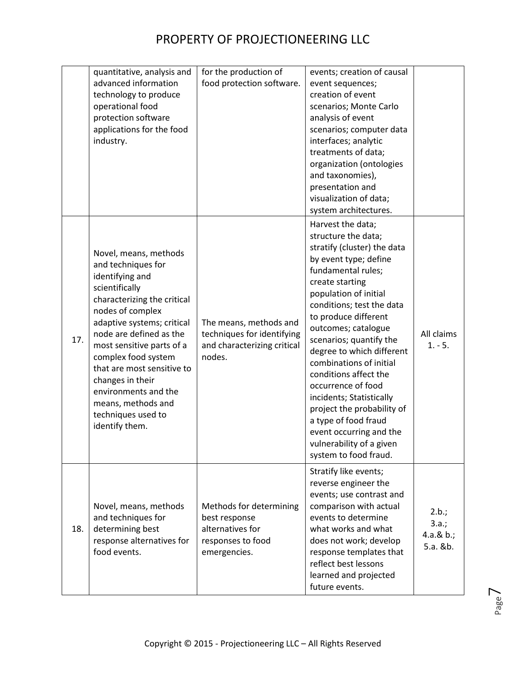|     | quantitative, analysis and<br>advanced information<br>technology to produce<br>operational food<br>protection software<br>applications for the food<br>industry.                                                                                                                                                                                                                         | for the production of<br>food protection software.                                                | events; creation of causal<br>event sequences;<br>creation of event<br>scenarios; Monte Carlo<br>analysis of event<br>scenarios; computer data<br>interfaces; analytic<br>treatments of data;<br>organization (ontologies<br>and taxonomies),<br>presentation and<br>visualization of data;<br>system architectures.                                                                                                                                                                                                                               |                                            |
|-----|------------------------------------------------------------------------------------------------------------------------------------------------------------------------------------------------------------------------------------------------------------------------------------------------------------------------------------------------------------------------------------------|---------------------------------------------------------------------------------------------------|----------------------------------------------------------------------------------------------------------------------------------------------------------------------------------------------------------------------------------------------------------------------------------------------------------------------------------------------------------------------------------------------------------------------------------------------------------------------------------------------------------------------------------------------------|--------------------------------------------|
| 17. | Novel, means, methods<br>and techniques for<br>identifying and<br>scientifically<br>characterizing the critical<br>nodes of complex<br>adaptive systems; critical<br>node are defined as the<br>most sensitive parts of a<br>complex food system<br>that are most sensitive to<br>changes in their<br>environments and the<br>means, methods and<br>techniques used to<br>identify them. | The means, methods and<br>techniques for identifying<br>and characterizing critical<br>nodes.     | Harvest the data;<br>structure the data;<br>stratify (cluster) the data<br>by event type; define<br>fundamental rules;<br>create starting<br>population of initial<br>conditions; test the data<br>to produce different<br>outcomes; catalogue<br>scenarios; quantify the<br>degree to which different<br>combinations of initial<br>conditions affect the<br>occurrence of food<br>incidents; Statistically<br>project the probability of<br>a type of food fraud<br>event occurring and the<br>vulnerability of a given<br>system to food fraud. | All claims<br>$1. - 5.$                    |
| 18. | Novel, means, methods<br>and techniques for<br>determining best<br>response alternatives for<br>food events.                                                                                                                                                                                                                                                                             | Methods for determining<br>best response<br>alternatives for<br>responses to food<br>emergencies. | Stratify like events;<br>reverse engineer the<br>events; use contrast and<br>comparison with actual<br>events to determine<br>what works and what<br>does not work; develop<br>response templates that<br>reflect best lessons<br>learned and projected<br>future events.                                                                                                                                                                                                                                                                          | 2.b.;<br>3.a.;<br>4.a. $& b.;$<br>5.a. &b. |

 $\overline{\phantom{1}}$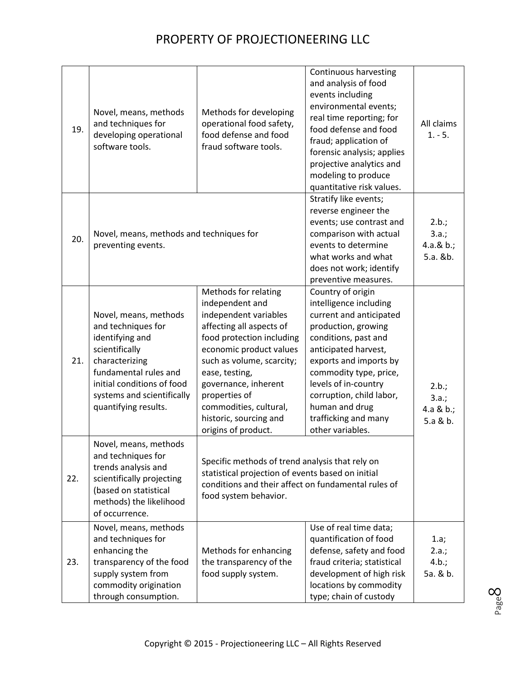| 19. | Novel, means, methods<br>and techniques for<br>developing operational<br>software tools.                                                                                                                        | Methods for developing<br>operational food safety,<br>food defense and food<br>fraud software tools.                                                                                                                                                                                                                    | Continuous harvesting<br>and analysis of food<br>events including<br>environmental events;<br>real time reporting; for<br>food defense and food<br>fraud; application of<br>forensic analysis; applies<br>projective analytics and<br>modeling to produce<br>quantitative risk values.                              | All claims<br>$1. - 5.$                    |
|-----|-----------------------------------------------------------------------------------------------------------------------------------------------------------------------------------------------------------------|-------------------------------------------------------------------------------------------------------------------------------------------------------------------------------------------------------------------------------------------------------------------------------------------------------------------------|---------------------------------------------------------------------------------------------------------------------------------------------------------------------------------------------------------------------------------------------------------------------------------------------------------------------|--------------------------------------------|
| 20. | Novel, means, methods and techniques for<br>preventing events.                                                                                                                                                  |                                                                                                                                                                                                                                                                                                                         | Stratify like events;<br>reverse engineer the<br>events; use contrast and<br>comparison with actual<br>events to determine<br>what works and what<br>does not work; identify<br>preventive measures.                                                                                                                | 2.b.;<br>3.a.;<br>4.a. $& b.;$<br>5.a. &b. |
| 21. | Novel, means, methods<br>and techniques for<br>identifying and<br>scientifically<br>characterizing<br>fundamental rules and<br>initial conditions of food<br>systems and scientifically<br>quantifying results. | Methods for relating<br>independent and<br>independent variables<br>affecting all aspects of<br>food protection including<br>economic product values<br>such as volume, scarcity;<br>ease, testing,<br>governance, inherent<br>properties of<br>commodities, cultural,<br>historic, sourcing and<br>origins of product. | Country of origin<br>intelligence including<br>current and anticipated<br>production, growing<br>conditions, past and<br>anticipated harvest,<br>exports and imports by<br>commodity type, price,<br>levels of in-country<br>corruption, child labor,<br>human and drug<br>trafficking and many<br>other variables. | 2.b.;<br>3.a.;<br>$4.a & b.$ ;<br>5.a & b. |
| 22. | Novel, means, methods<br>and techniques for<br>trends analysis and<br>scientifically projecting<br>(based on statistical<br>methods) the likelihood<br>of occurrence.                                           | Specific methods of trend analysis that rely on<br>statistical projection of events based on initial<br>conditions and their affect on fundamental rules of<br>food system behavior.                                                                                                                                    |                                                                                                                                                                                                                                                                                                                     |                                            |
| 23. | Novel, means, methods<br>and techniques for<br>enhancing the<br>transparency of the food<br>supply system from<br>commodity origination<br>through consumption.                                                 | Methods for enhancing<br>the transparency of the<br>food supply system.                                                                                                                                                                                                                                                 | Use of real time data;<br>quantification of food<br>defense, safety and food<br>fraud criteria; statistical<br>development of high risk<br>locations by commodity<br>type; chain of custody                                                                                                                         | 1.a;<br>2.a.;<br>4.b.;<br>5a. & b.         |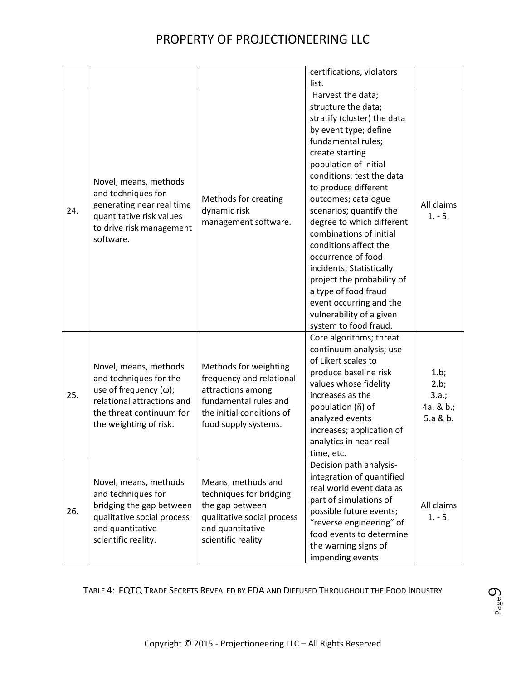|     |                                                                                                                                                                      |                                                                                                                                                      | certifications, violators<br>list.                                                                                                                                                                                                                                                                                                                                                                                                                                                                                                                 |                                                |
|-----|----------------------------------------------------------------------------------------------------------------------------------------------------------------------|------------------------------------------------------------------------------------------------------------------------------------------------------|----------------------------------------------------------------------------------------------------------------------------------------------------------------------------------------------------------------------------------------------------------------------------------------------------------------------------------------------------------------------------------------------------------------------------------------------------------------------------------------------------------------------------------------------------|------------------------------------------------|
| 24. | Novel, means, methods<br>and techniques for<br>generating near real time<br>quantitative risk values<br>to drive risk management<br>software.                        | Methods for creating<br>dynamic risk<br>management software.                                                                                         | Harvest the data;<br>structure the data;<br>stratify (cluster) the data<br>by event type; define<br>fundamental rules;<br>create starting<br>population of initial<br>conditions; test the data<br>to produce different<br>outcomes; catalogue<br>scenarios; quantify the<br>degree to which different<br>combinations of initial<br>conditions affect the<br>occurrence of food<br>incidents; Statistically<br>project the probability of<br>a type of food fraud<br>event occurring and the<br>vulnerability of a given<br>system to food fraud. | All claims<br>$1. - 5.$                        |
| 25. | Novel, means, methods<br>and techniques for the<br>use of frequency $(\omega)$ ;<br>relational attractions and<br>the threat continuum for<br>the weighting of risk. | Methods for weighting<br>frequency and relational<br>attractions among<br>fundamental rules and<br>the initial conditions of<br>food supply systems. | Core algorithms; threat<br>continuum analysis; use<br>of Likert scales to<br>produce baseline risk<br>values whose fidelity<br>increases as the<br>population (ñ) of<br>analyzed events<br>increases; application of<br>analytics in near real<br>time, etc.                                                                                                                                                                                                                                                                                       | 1.b;<br>2.b;<br>3.a.;<br>4a. & b.;<br>5.a & b. |
| 26. | Novel, means, methods<br>and techniques for<br>bridging the gap between<br>qualitative social process<br>and quantitative<br>scientific reality.                     | Means, methods and<br>techniques for bridging<br>the gap between<br>qualitative social process<br>and quantitative<br>scientific reality             | Decision path analysis-<br>integration of quantified<br>real world event data as<br>part of simulations of<br>possible future events;<br>"reverse engineering" of<br>food events to determine<br>the warning signs of<br>impending events                                                                                                                                                                                                                                                                                                          | All claims<br>$1. - 5.$                        |

TABLE 4: FQTQ TRADE SECRETS REVEALED BY FDA AND DIFFUSED THROUGHOUT THE FOOD INDUSTRY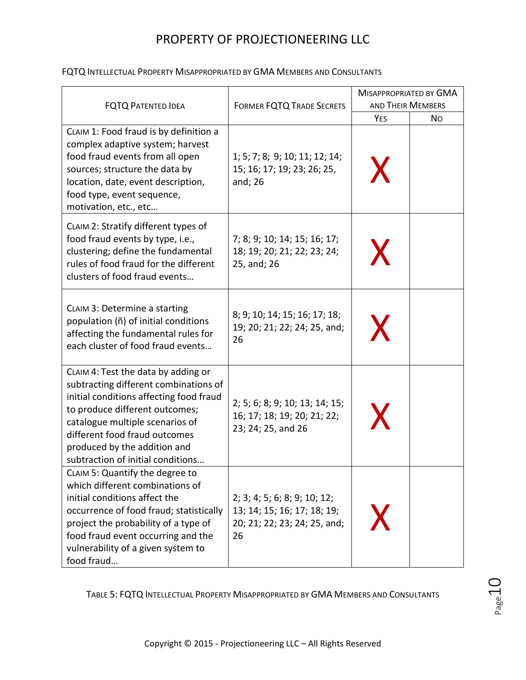|                                                                                                                                                                                                                                                                                                    |                                                                                                   | <b>MISAPPROPRIATED BY GMA</b>                |  |
|----------------------------------------------------------------------------------------------------------------------------------------------------------------------------------------------------------------------------------------------------------------------------------------------------|---------------------------------------------------------------------------------------------------|----------------------------------------------|--|
| <b>FQTQ PATENTED IDEA</b>                                                                                                                                                                                                                                                                          | <b>FORMER FQTQ TRADE SECRETS</b>                                                                  | <b>AND THEIR MEMBERS</b><br><b>YES</b><br>No |  |
| CLAIM 1: Food fraud is by definition a<br>complex adaptive system; harvest<br>food fraud events from all open<br>sources; structure the data by<br>location, date, event description,<br>food type, event sequence,<br>motivation, etc., etc                                                       | 1; 5; 7; 8; 9; 10; 11; 12; 14;<br>15; 16; 17; 19; 23; 26; 25,<br>and; 26                          | X                                            |  |
| CLAIM 2: Stratify different types of<br>food fraud events by type, i.e.,<br>clustering; define the fundamental<br>rules of food fraud for the different<br>clusters of food fraud events                                                                                                           | 7; 8; 9; 10; 14; 15; 16; 17;<br>18; 19; 20; 21; 22; 23; 24;<br>25, and; 26                        | X                                            |  |
| CLAIM 3: Determine a starting<br>population (ñ) of initial conditions<br>affecting the fundamental rules for<br>each cluster of food fraud events                                                                                                                                                  | 8; 9; 10; 14; 15; 16; 17; 18;<br>19; 20; 21; 22; 24; 25, and;<br>26                               | X                                            |  |
| CLAIM 4: Test the data by adding or<br>subtracting different combinations of<br>initial conditions affecting food fraud<br>to produce different outcomes;<br>catalogue multiple scenarios of<br>different food fraud outcomes<br>produced by the addition and<br>subtraction of initial conditions | 2; 5; 6; 8; 9; 10; 13; 14; 15;<br>16; 17; 18; 19; 20; 21; 22;<br>23; 24; 25, and 26               | X                                            |  |
| CLAIM 5: Quantify the degree to<br>which different combinations of<br>initial conditions affect the<br>occurrence of food fraud; statistically<br>project the probability of a type of<br>food fraud event occurring and the<br>vulnerability of a given system to<br>food fraud                   | 2; 3; 4; 5; 6; 8; 9; 10; 12;<br>13; 14; 15; 16; 17; 18; 19;<br>20; 21; 22; 23; 24; 25, and;<br>26 | X                                            |  |

#### FQTQ INTELLECTUAL PROPERTY MISAPPROPRIATED BY GMA MEMBERS AND CONSULTANTS

TABLE 5: FQTQ INTELLECTUAL PROPERTY MISAPPROPRIATED BY GMA MEMBERS AND CONSULTANTS

Page10